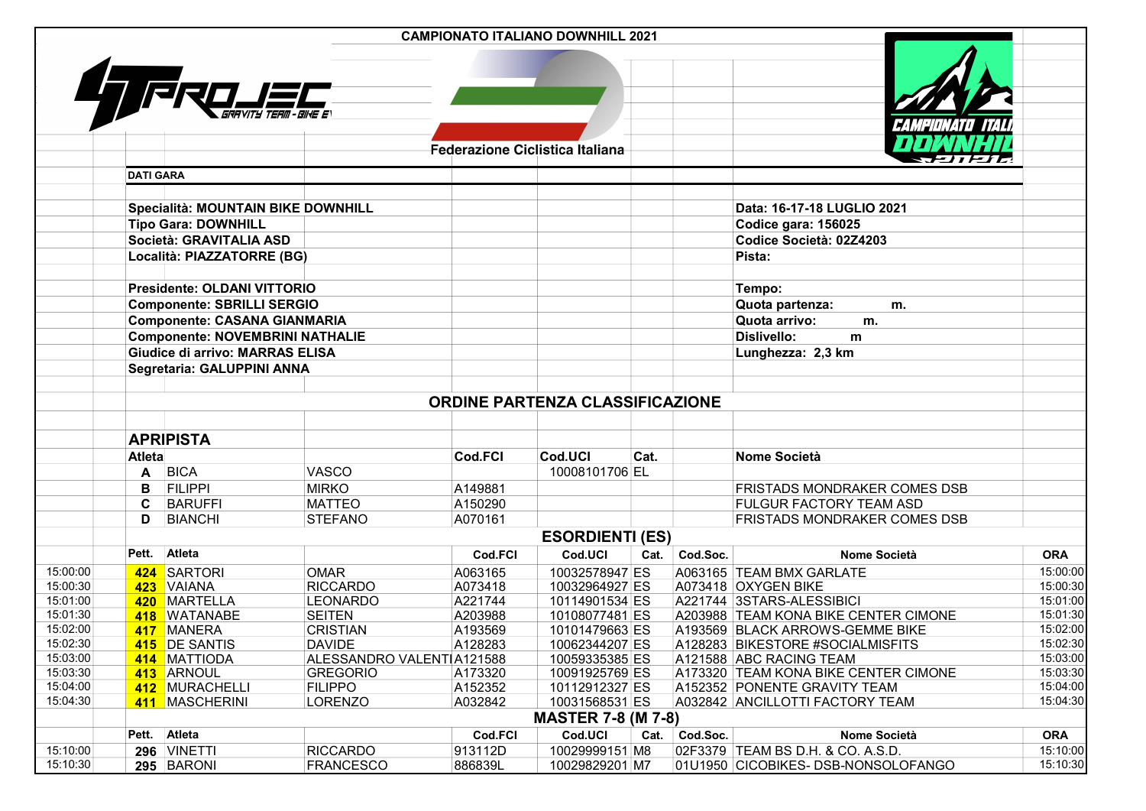|                      |                  |                                        |                                              |                                        | <b>CAMPIONATO ITALIANO DOWNHILL 2021</b> |      |               |                                                             |                      |  |  |  |
|----------------------|------------------|----------------------------------------|----------------------------------------------|----------------------------------------|------------------------------------------|------|---------------|-------------------------------------------------------------|----------------------|--|--|--|
|                      |                  |                                        |                                              | <b>Federazione Ciclistica Italiana</b> |                                          |      |               |                                                             |                      |  |  |  |
|                      | <b>DATI GARA</b> |                                        |                                              |                                        |                                          |      |               |                                                             |                      |  |  |  |
|                      |                  |                                        |                                              |                                        |                                          |      |               |                                                             |                      |  |  |  |
|                      |                  | Specialità: MOUNTAIN BIKE DOWNHILL     |                                              |                                        |                                          |      |               | Data: 16-17-18 LUGLIO 2021                                  |                      |  |  |  |
|                      |                  | <b>Tipo Gara: DOWNHILL</b>             |                                              |                                        |                                          |      |               | Codice gara: 156025                                         |                      |  |  |  |
|                      |                  | Società: GRAVITALIA ASD                |                                              |                                        |                                          |      |               | Codice Società: 02Z4203                                     |                      |  |  |  |
|                      |                  | Località: PIAZZATORRE (BG)             |                                              |                                        |                                          |      |               | Pista:                                                      |                      |  |  |  |
|                      |                  | <b>Presidente: OLDANI VITTORIO</b>     |                                              |                                        |                                          |      | Tempo:        |                                                             |                      |  |  |  |
|                      |                  | <b>Componente: SBRILLI SERGIO</b>      |                                              |                                        |                                          |      |               | Quota partenza:<br>m.                                       |                      |  |  |  |
|                      |                  | <b>Componente: CASANA GIANMARIA</b>    |                                              |                                        |                                          |      |               | Quota arrivo:<br>m.                                         |                      |  |  |  |
|                      |                  | <b>Componente: NOVEMBRINI NATHALIE</b> |                                              |                                        |                                          |      |               | <b>Dislivello:</b><br>m                                     |                      |  |  |  |
|                      |                  | Giudice di arrivo: MARRAS ELISA        |                                              |                                        |                                          |      |               | Lunghezza: 2,3 km                                           |                      |  |  |  |
|                      |                  | Segretaria: GALUPPINI ANNA             |                                              |                                        |                                          |      |               |                                                             |                      |  |  |  |
|                      |                  |                                        |                                              |                                        | ORDINE PARTENZA CLASSIFICAZIONE          |      |               |                                                             |                      |  |  |  |
|                      |                  |                                        |                                              |                                        |                                          |      |               |                                                             |                      |  |  |  |
|                      |                  | <b>APRIPISTA</b>                       |                                              |                                        |                                          |      |               |                                                             |                      |  |  |  |
|                      | <b>Atleta</b>    |                                        |                                              | Cod.FCI                                | Cod.UCI                                  | Cat. |               | <b>Nome Società</b>                                         |                      |  |  |  |
|                      | A                | <b>BICA</b>                            | VASCO                                        |                                        | 10008101706 EL                           |      |               |                                                             |                      |  |  |  |
|                      | в                | <b>FILIPPI</b>                         | <b>MIRKO</b>                                 | A149881                                |                                          |      |               | FRISTADS MONDRAKER COMES DSB                                |                      |  |  |  |
|                      | C.               | <b>BARUFFI</b>                         | <b>MATTEO</b>                                | A150290                                |                                          |      |               | FULGUR FACTORY TEAM ASD                                     |                      |  |  |  |
|                      | D                | <b>BIANCHI</b>                         | <b>STEFANO</b>                               | A070161                                |                                          |      |               | <b>FRISTADS MONDRAKER COMES DSB</b>                         |                      |  |  |  |
|                      |                  |                                        |                                              |                                        | <b>ESORDIENTI (ES)</b>                   |      |               |                                                             |                      |  |  |  |
|                      | Pett.            | Atleta                                 |                                              | Cod.FCI                                | Cod.UCI                                  |      | Cat. Cod.Soc. | <b>Nome Società</b>                                         | <b>ORA</b>           |  |  |  |
| 15:00:00             |                  | 424 SARTORI                            | <b>OMAR</b>                                  | A063165                                | 10032578947 ES                           |      |               | A063165 TEAM BMX GARLATE                                    | 15:00:00             |  |  |  |
| 15:00:30             |                  | 423 VAIANA                             | <b>RICCARDO</b>                              | A073418                                | 10032964927 ES                           |      |               | A073418 OXYGEN BIKE                                         | 15:00:30             |  |  |  |
| 15:01:00             |                  | 420 MARTELLA                           | <b>LEONARDO</b>                              | A221744                                | 10114901534 ES                           |      |               | A221744 3STARS-ALESSIBICI                                   | 15:01:00             |  |  |  |
| 15:01:30             |                  | 418 WATANABE                           | <b>SEITEN</b>                                | A203988                                | 10108077481 ES                           |      |               | A203988 TEAM KONA BIKE CENTER CIMONE                        | 15:01:30             |  |  |  |
| 15:02:00             |                  | 417 MANERA                             | <b>CRISTIAN</b>                              | A193569                                | 10101479663 ES                           |      |               | A193569 BLACK ARROWS-GEMME BIKE                             | 15:02:00             |  |  |  |
| 15:02:30<br>15:03:00 |                  | 415 DE SANTIS                          | <b>DAVIDE</b>                                | A128283                                | 10062344207 ES                           |      |               | A128283 BIKESTORE #SOCIALMISFITS<br>A121588 ABC RACING TEAM | 15:02:30<br>15:03:00 |  |  |  |
| 15:03:30             |                  | 414 MATTIODA<br>413 ARNOUL             | ALESSANDRO VALENTIA121588<br><b>GREGORIO</b> | A173320                                | 10059335385 ES<br>10091925769 ES         |      |               | A173320 TEAM KONA BIKE CENTER CIMONE                        | 15:03:30             |  |  |  |
| 15:04:00             |                  | 412 MURACHELLI                         | <b>FILIPPO</b>                               | A152352                                | 10112912327 ES                           |      |               | A152352 PONENTE GRAVITY TEAM                                | 15:04:00             |  |  |  |
| 15:04:30             | 411              | MASCHERINI                             | LORENZO                                      | A032842                                | 10031568531 ES                           |      |               | A032842 ANCILLOTTI FACTORY TEAM                             | 15:04:30             |  |  |  |
|                      |                  |                                        |                                              |                                        | <b>MASTER 7-8 (M 7-8)</b>                |      |               |                                                             |                      |  |  |  |
|                      |                  | Pett. Atleta                           |                                              | Cod.FCI                                | Cod.UCI                                  |      | Cat. Cod.Soc. | Nome Società                                                | <b>ORA</b>           |  |  |  |
| 15:10:00             |                  | 296 VINETTI                            | <b>RICCARDO</b>                              | 913112D                                | 10029999151 M8                           |      |               | 02F3379 TEAM BS D.H. & CO. A.S.D.                           | 15:10:00             |  |  |  |
| 15:10:30             |                  | 295 BARONI                             | <b>FRANCESCO</b>                             | 886839L                                | 10029829201 M7                           |      |               | 01U1950 CICOBIKES- DSB-NONSOLOFANGO                         | 15:10:30             |  |  |  |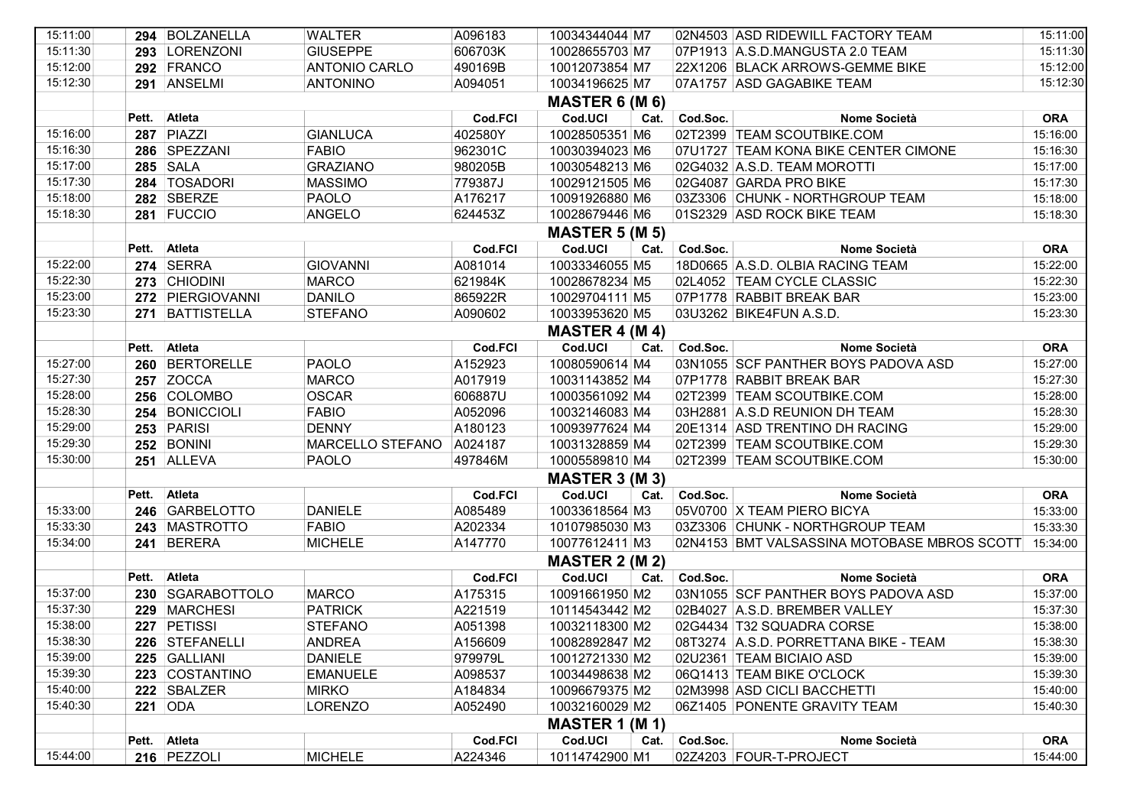| 15:11:00 |       | 294 BOLZANELLA         | <b>WALTER</b>        | A096183 | 10034344044 M7        |      |          | 02N4503 ASD RIDEWILL FACTORY TEAM                    | 15:11:00   |  |  |  |
|----------|-------|------------------------|----------------------|---------|-----------------------|------|----------|------------------------------------------------------|------------|--|--|--|
| 15:11:30 |       | 293 LORENZONI          | <b>GIUSEPPE</b>      | 606703K | 10028655703 M7        |      |          | 07P1913 A.S.D.MANGUSTA 2.0 TEAM                      | 15:11:30   |  |  |  |
| 15:12:00 |       | 292 FRANCO             | <b>ANTONIO CARLO</b> | 490169B | 10012073854 M7        |      |          | 22X1206 BLACK ARROWS-GEMME BIKE                      | 15:12:00   |  |  |  |
| 15:12:30 |       | 291 ANSELMI            | <b>ANTONINO</b>      | A094051 | 10034196625 M7        |      |          | 07A1757 ASD GAGABIKE TEAM                            | 15:12:30   |  |  |  |
|          |       | <b>MASTER 6 (M 6)</b>  |                      |         |                       |      |          |                                                      |            |  |  |  |
|          | Pett. | Atleta                 |                      | Cod.FCI | Cod.UCI               | Cat. | Cod.Soc. | Nome Società                                         | <b>ORA</b> |  |  |  |
| 15:16:00 |       | 287 PIAZZI             | <b>GIANLUCA</b>      | 402580Y | 10028505351 M6        |      |          | 02T2399 TEAM SCOUTBIKE.COM                           | 15:16:00   |  |  |  |
| 15:16:30 |       | 286 SPEZZANI           | <b>FABIO</b>         | 962301C | 10030394023 M6        |      |          | 07U1727 TEAM KONA BIKE CENTER CIMONE                 | 15:16:30   |  |  |  |
| 15:17:00 |       | <b>285 SALA</b>        | <b>GRAZIANO</b>      | 980205B | 10030548213 M6        |      |          | 02G4032 A.S.D. TEAM MOROTTI                          | 15:17:00   |  |  |  |
| 15:17:30 |       | 284 TOSADORI           | <b>MASSIMO</b>       | 779387J | 10029121505 M6        |      |          | 02G4087 GARDA PRO BIKE                               | 15:17:30   |  |  |  |
| 15:18:00 |       | 282 SBERZE             | <b>PAOLO</b>         | A176217 | 10091926880 M6        |      |          | 03Z3306 CHUNK - NORTHGROUP TEAM                      | 15:18:00   |  |  |  |
| 15:18:30 |       | 281 FUCCIO             | ANGELO               | 624453Z | 10028679446 M6        |      |          | 01S2329 ASD ROCK BIKE TEAM                           | 15:18:30   |  |  |  |
|          |       |                        |                      |         | <b>MASTER 5 (M 5)</b> |      |          |                                                      |            |  |  |  |
|          | Pett. | <b>Atleta</b>          |                      | Cod.FCI | Cod.UCI               | Cat. | Cod.Soc. | Nome Società                                         | <b>ORA</b> |  |  |  |
| 15:22:00 |       | <b>274 SERRA</b>       | <b>GIOVANNI</b>      | A081014 | 10033346055 M5        |      |          | 18D0665 A.S.D. OLBIA RACING TEAM                     | 15:22:00   |  |  |  |
| 15:22:30 |       | 273 CHIODINI           | <b>MARCO</b>         | 621984K | 10028678234 M5        |      |          | 02L4052 TEAM CYCLE CLASSIC                           | 15:22:30   |  |  |  |
| 15:23:00 |       | 272 PIERGIOVANNI       | <b>DANILO</b>        | 865922R | 10029704111 M5        |      |          | 07P1778 RABBIT BREAK BAR                             | 15:23:00   |  |  |  |
| 15:23:30 |       | 271 BATTISTELLA        | <b>STEFANO</b>       | A090602 | 10033953620 M5        |      |          | 03U3262 BIKE4FUN A.S.D.                              | 15:23:30   |  |  |  |
|          |       |                        |                      |         | <b>MASTER 4 (M 4)</b> |      |          |                                                      |            |  |  |  |
|          |       | Pett. Atleta           |                      | Cod.FCI | Cod.UCI               | Cat. | Cod.Soc. | Nome Società                                         | <b>ORA</b> |  |  |  |
| 15:27:00 |       | 260 BERTORELLE         | <b>PAOLO</b>         | A152923 | 10080590614 M4        |      |          | 03N1055 SCF PANTHER BOYS PADOVA ASD                  | 15:27:00   |  |  |  |
| 15:27:30 |       | <b>257 ZOCCA</b>       | <b>MARCO</b>         | A017919 | 10031143852 M4        |      |          | 07P1778 RABBIT BREAK BAR                             | 15:27:30   |  |  |  |
| 15:28:00 |       | 256 COLOMBO            | <b>OSCAR</b>         | 606887U | 10003561092 M4        |      |          | 02T2399 TEAM SCOUTBIKE.COM                           | 15:28:00   |  |  |  |
| 15:28:30 |       | 254 BONICCIOLI         | <b>FABIO</b>         | A052096 | 10032146083 M4        |      |          | 03H2881 A.S.D REUNION DH TEAM                        | 15:28:30   |  |  |  |
| 15:29:00 |       | 253 PARISI             | <b>DENNY</b>         | A180123 | 10093977624 M4        |      |          | 20E1314 ASD TRENTINO DH RACING                       | 15:29:00   |  |  |  |
| 15:29:30 |       | 252 BONINI             | MARCELLO STEFANO     | A024187 | 10031328859 M4        |      |          | 02T2399 TEAM SCOUTBIKE.COM                           | 15:29:30   |  |  |  |
| 15:30:00 |       | 251 ALLEVA             | <b>PAOLO</b>         | 497846M | 10005589810 M4        |      |          | 02T2399 TEAM SCOUTBIKE.COM                           | 15:30:00   |  |  |  |
|          |       |                        |                      |         | <b>MASTER 3 (M 3)</b> |      |          |                                                      |            |  |  |  |
|          |       | Pett. Atleta           |                      | Cod.FCI | Cod.UCI               | Cat. | Cod.Soc. | Nome Società                                         | <b>ORA</b> |  |  |  |
| 15:33:00 |       | 246 GARBELOTTO         | <b>DANIELE</b>       | A085489 | 10033618564 M3        |      |          | 05V0700 X TEAM PIERO BICYA                           | 15:33:00   |  |  |  |
| 15:33:30 |       | 243 MASTROTTO          | <b>FABIO</b>         | A202334 | 10107985030 M3        |      |          | 03Z3306 CHUNK - NORTHGROUP TEAM                      | 15:33:30   |  |  |  |
| 15:34:00 |       | 241 BERERA             | <b>MICHELE</b>       | A147770 | 10077612411 M3        |      |          | 02N4153 BMT VALSASSINA MOTOBASE MBROS SCOTT 15:34:00 |            |  |  |  |
|          |       |                        |                      |         | MASTER $2$ (M $2$ )   |      |          |                                                      |            |  |  |  |
|          |       | Pett. Atleta           |                      | Cod.FCI | Cod.UCI               | Cat. | Cod.Soc. | Nome Società                                         | <b>ORA</b> |  |  |  |
| 15:37:00 |       | 230 SGARABOTTOLO       | <b>MARCO</b>         | A175315 | 10091661950 M2        |      |          | 03N1055 SCF PANTHER BOYS PADOVA ASD                  | 15:37:00   |  |  |  |
| 15:37:30 |       | 229 MARCHESI           | <b>PATRICK</b>       | A221519 | 10114543442 M2        |      |          | 02B4027 A.S.D. BREMBER VALLEY                        | 15:37:30   |  |  |  |
| 15:38:00 |       | 227 PETISSI            | <b>STEFANO</b>       | A051398 | 10032118300 M2        |      |          | 02G4434 T32 SQUADRA CORSE                            | 15:38:00   |  |  |  |
| 15:38:30 |       | 226 STEFANELLI         | ANDREA               | A156609 | 10082892847 M2        |      |          | 08T3274 A.S.D. PORRETTANA BIKE - TEAM                | 15:38:30   |  |  |  |
| 15:39:00 |       | 225 GALLIANI           | <b>DANIELE</b>       | 979979L | 10012721330 M2        |      |          | 02U2361 TEAM BICIAIO ASD                             | 15:39:00   |  |  |  |
| 15:39:30 |       | 223 COSTANTINO         | <b>EMANUELE</b>      | A098537 | 10034498638 M2        |      |          | 06Q1413 TEAM BIKE O'CLOCK                            | 15:39:30   |  |  |  |
| 15:40:00 |       | 222 SBALZER            | <b>MIRKO</b>         | A184834 | 10096679375 M2        |      |          | 02M3998 ASD CICLI BACCHETTI                          | 15:40:00   |  |  |  |
| 15:40:30 |       | 221 ODA                | LORENZO              | A052490 | 10032160029 M2        |      |          | 06Z1405 PONENTE GRAVITY TEAM                         | 15:40:30   |  |  |  |
|          |       |                        |                      |         | <b>MASTER 1 (M 1)</b> |      |          |                                                      |            |  |  |  |
|          |       | <b>Atleta</b><br>Pett. |                      | Cod.FCI | Cod.UCI               | Cat. | Cod.Soc. | Nome Società                                         | <b>ORA</b> |  |  |  |
| 15:44:00 |       | 216 PEZZOLI            | <b>MICHELE</b>       | A224346 | 10114742900 M1        |      |          | 02Z4203 FOUR-T-PROJECT                               | 15:44:00   |  |  |  |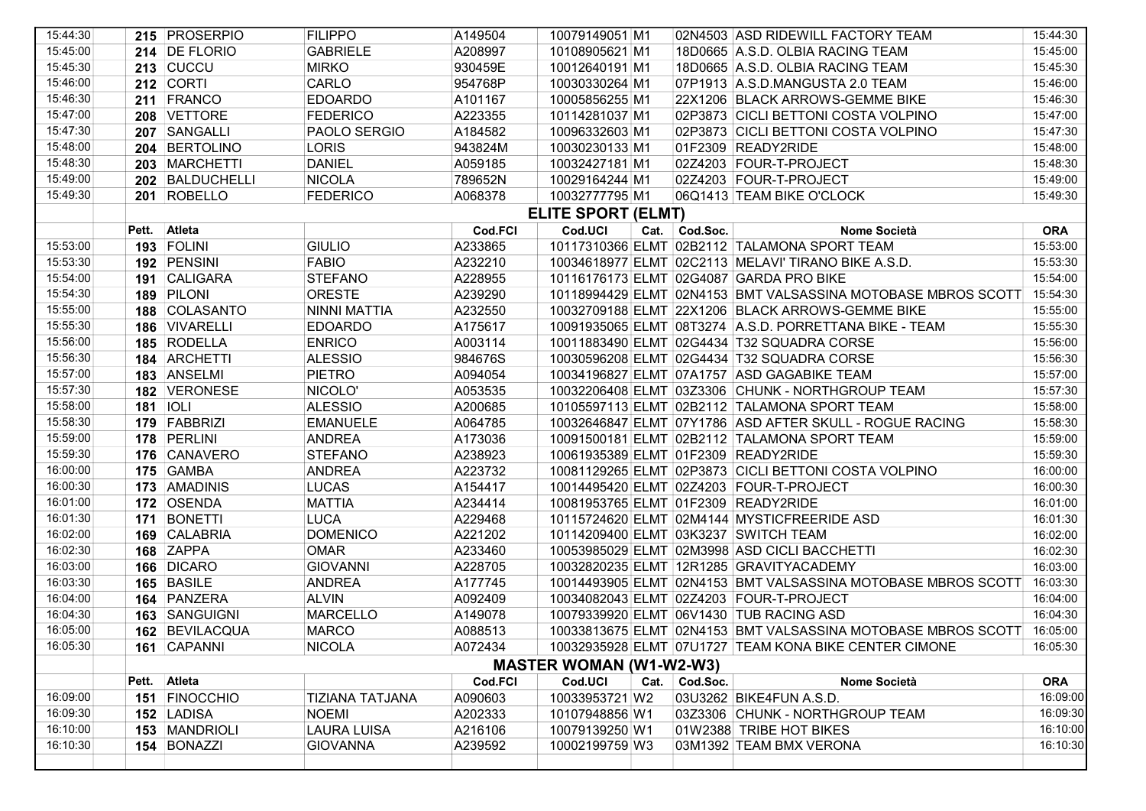| 15:44:30 |       | 215 PROSERPIO     | <b>FILIPPO</b>      | A149504 | 10079149051 M1                 |               | 02N4503 ASD RIDEWILL FACTORY TEAM                                     | 15:44:30   |
|----------|-------|-------------------|---------------------|---------|--------------------------------|---------------|-----------------------------------------------------------------------|------------|
| 15:45:00 |       | 214 DE FLORIO     | <b>GABRIELE</b>     | A208997 | 10108905621 M1                 |               | 18D0665 A.S.D. OLBIA RACING TEAM                                      | 15:45:00   |
| 15:45:30 |       | 213 CUCCU         | <b>MIRKO</b>        | 930459E | 10012640191 M1                 |               | 18D0665 A.S.D. OLBIA RACING TEAM                                      | 15:45:30   |
| 15:46:00 |       | <b>212 CORTI</b>  | CARLO               | 954768P | 10030330264 M1                 |               | 07P1913 A.S.D.MANGUSTA 2.0 TEAM                                       | 15:46:00   |
| 15:46:30 |       | 211 FRANCO        | <b>EDOARDO</b>      | A101167 | 10005856255 M1                 |               | 22X1206 BLACK ARROWS-GEMME BIKE                                       | 15:46:30   |
| 15:47:00 |       | 208 VETTORE       | <b>FEDERICO</b>     | A223355 | 10114281037 M1                 |               | 02P3873 CICLI BETTONI COSTA VOLPINO                                   | 15:47:00   |
| 15:47:30 |       | 207 SANGALLI      | PAOLO SERGIO        | A184582 | 10096332603 M1                 |               | 02P3873 CICLI BETTONI COSTA VOLPINO                                   | 15:47:30   |
| 15:48:00 |       | 204 BERTOLINO     | <b>LORIS</b>        | 943824M | 10030230133 M1                 |               | 01F2309 READY2RIDE                                                    | 15:48:00   |
| 15:48:30 |       | 203 MARCHETTI     | <b>DANIEL</b>       | A059185 | 10032427181 M1                 |               | 02Z4203 FOUR-T-PROJECT                                                | 15:48:30   |
| 15:49:00 |       | 202 BALDUCHELLI   | <b>NICOLA</b>       | 789652N | 10029164244 M1                 |               | 02Z4203 FOUR-T-PROJECT                                                | 15:49:00   |
| 15:49:30 |       | 201 ROBELLO       | <b>FEDERICO</b>     | A068378 | 10032777795 M1                 |               | 06Q1413 TEAM BIKE O'CLOCK                                             | 15:49:30   |
|          |       |                   |                     |         | <b>ELITE SPORT (ELMT)</b>      |               |                                                                       |            |
|          | Pett. | Atleta            |                     | Cod.FCI | Cod.UCI                        | Cat. Cod.Soc. | Nome Società                                                          | <b>ORA</b> |
| 15:53:00 |       | 193 FOLINI        | <b>GIULIO</b>       | A233865 |                                |               | 10117310366 ELMT 02B2112 TALAMONA SPORT TEAM                          | 15:53:00   |
| 15:53:30 |       | 192 PENSINI       | <b>FABIO</b>        | A232210 |                                |               | 10034618977 ELMT 02C2113 MELAVI' TIRANO BIKE A.S.D.                   | 15:53:30   |
| 15:54:00 |       | 191 CALIGARA      | <b>STEFANO</b>      | A228955 |                                |               | 10116176173 ELMT 02G4087 GARDA PRO BIKE                               | 15:54:00   |
| 15:54:30 |       | 189 PILONI        | <b>ORESTE</b>       | A239290 |                                |               | 10118994429 ELMT 02N4153 BMT VALSASSINA MOTOBASE MBROS SCOTT          | 15:54:30   |
| 15:55:00 |       | 188 COLASANTO     | <b>NINNI MATTIA</b> | A232550 |                                |               | 10032709188 ELMT 22X1206 BLACK ARROWS-GEMME BIKE                      | 15:55:00   |
| 15:55:30 |       | 186 VIVARELLI     | <b>EDOARDO</b>      | A175617 |                                |               | 10091935065 ELMT 08T3274 A.S.D. PORRETTANA BIKE - TEAM                | 15:55:30   |
| 15:56:00 |       | 185 RODELLA       | <b>ENRICO</b>       | A003114 |                                |               | 10011883490 ELMT 02G4434 T32 SQUADRA CORSE                            | 15:56:00   |
| 15:56:30 |       | 184 ARCHETTI      | <b>ALESSIO</b>      | 984676S |                                |               | 10030596208 ELMT 02G4434 T32 SQUADRA CORSE                            | 15:56:30   |
| 15:57:00 |       | 183 ANSELMI       | <b>PIETRO</b>       | A094054 |                                |               | 10034196827 ELMT 07A1757 ASD GAGABIKE TEAM                            | 15:57:00   |
| 15:57:30 |       | 182 VERONESE      | NICOLO'             | A053535 |                                |               | 10032206408 ELMT 03Z3306 CHUNK - NORTHGROUP TEAM                      | 15:57:30   |
| 15:58:00 |       | <b>181   IOLI</b> | <b>ALESSIO</b>      | A200685 |                                |               | 10105597113 ELMT 02B2112 TALAMONA SPORT TEAM                          | 15:58:00   |
| 15:58:30 |       | 179 FABBRIZI      | <b>EMANUELE</b>     | A064785 |                                |               | 10032646847 ELMT 07Y1786 ASD AFTER SKULL - ROGUE RACING               | 15:58:30   |
| 15:59:00 |       | 178 PERLINI       | <b>ANDREA</b>       | A173036 |                                |               | 10091500181 ELMT 02B2112 TALAMONA SPORT TEAM                          | 15:59:00   |
| 15:59:30 |       | 176 CANAVERO      | <b>STEFANO</b>      | A238923 |                                |               | 10061935389 ELMT 01F2309 READY2RIDE                                   | 15:59:30   |
| 16:00:00 |       | 175 GAMBA         | <b>ANDREA</b>       | A223732 |                                |               | 10081129265 ELMT 02P3873 CICLI BETTONI COSTA VOLPINO                  | 16:00:00   |
| 16:00:30 |       | 173 AMADINIS      | <b>LUCAS</b>        | A154417 |                                |               | 10014495420 ELMT 02Z4203 FOUR-T-PROJECT                               | 16:00:30   |
| 16:01:00 |       | 172 OSENDA        | <b>MATTIA</b>       | A234414 |                                |               | 10081953765 ELMT 01F2309 READY2RIDE                                   | 16:01:00   |
| 16:01:30 |       | 171 BONETTI       | <b>LUCA</b>         | A229468 |                                |               | 10115724620 ELMT 02M4144 MYSTICFREERIDE ASD                           | 16:01:30   |
| 16:02:00 | 169   | CALABRIA          | <b>DOMENICO</b>     | A221202 |                                |               | 10114209400 ELMT 03K3237 SWITCH TEAM                                  | 16:02:00   |
| 16:02:30 |       | 168 ZAPPA         | <b>OMAR</b>         | A233460 |                                |               | 10053985029 ELMT 02M3998 ASD CICLI BACCHETTI                          | 16:02:30   |
| 16:03:00 |       | 166 DICARO        | <b>GIOVANNI</b>     | A228705 |                                |               | 10032820235 ELMT 12R1285 GRAVITYACADEMY                               | 16:03:00   |
| 16:03:30 |       | 165 BASILE        | <b>ANDREA</b>       | A177745 |                                |               | 10014493905 ELMT 02N4153 BMT VALSASSINA MOTOBASE MBROS SCOTT          | 16:03:30   |
| 16:04:00 |       | 164 PANZERA       | <b>ALVIN</b>        | A092409 |                                |               | 10034082043 ELMT 02Z4203 FOUR-T-PROJECT                               | 16:04:00   |
| 16:04:30 |       | 163 SANGUIGNI     | <b>MARCELLO</b>     | A149078 |                                |               | 10079339920 ELMT 06V1430 TUB RACING ASD                               | 16:04:30   |
| 16:05:00 |       | 162 BEVILACQUA    | <b>MARCO</b>        | A088513 |                                |               | 10033813675 ELMT 02N4153 BMT VALSASSINA MOTOBASE MBROS SCOTT 16:05:00 |            |
| 16:05:30 |       | 161 CAPANNI       | <b>NICOLA</b>       | A072434 |                                |               | 10032935928 ELMT 07U1727 TEAM KONA BIKE CENTER CIMONE                 | 16:05:30   |
|          |       |                   |                     |         | <b>MASTER WOMAN (W1-W2-W3)</b> |               |                                                                       |            |
|          |       | Pett. Atleta      |                     | Cod.FCI | Cod.UCI                        | Cat. Cod.Soc. | Nome Società                                                          | <b>ORA</b> |
| 16:09:00 |       | 151 FINOCCHIO     | TIZIANA TATJANA     | A090603 | 10033953721 W2                 |               | 03U3262 BIKE4FUN A.S.D.                                               | 16:09:00   |
| 16:09:30 |       | 152 LADISA        | <b>NOEMI</b>        | A202333 | 10107948856 W1                 |               | 03Z3306 CHUNK - NORTHGROUP TEAM                                       | 16:09:30   |
| 16:10:00 |       | 153 MANDRIOLI     | <b>LAURA LUISA</b>  | A216106 | 10079139250 W1                 |               | 01W2388 TRIBE HOT BIKES                                               | 16:10:00   |
| 16:10:30 |       | 154 BONAZZI       | <b>GIOVANNA</b>     | A239592 | 10002199759 W3                 |               | 03M1392 TEAM BMX VERONA                                               | 16:10:30   |
|          |       |                   |                     |         |                                |               |                                                                       |            |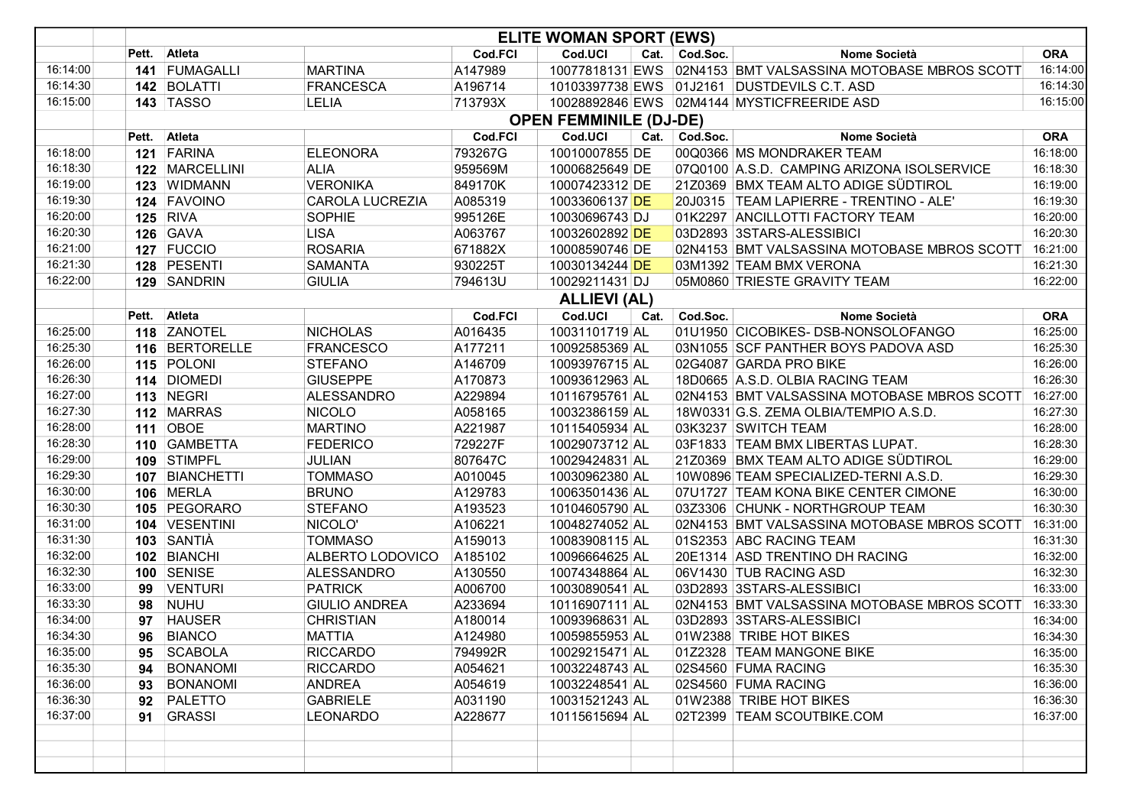|          | <b>ELITE WOMAN SPORT (EWS)</b> |                  |                        |         |                     |      |               |                                             |            |  |  |
|----------|--------------------------------|------------------|------------------------|---------|---------------------|------|---------------|---------------------------------------------|------------|--|--|
|          | Pett.                          | Atleta           |                        | Cod.FCI | Cod.UCI             | Cat. | Cod.Soc.      | Nome Società                                | <b>ORA</b> |  |  |
| 16:14:00 |                                | 141 FUMAGALLI    | <b>MARTINA</b>         | A147989 | 10077818131 EWS     |      |               | 02N4153 BMT VALSASSINA MOTOBASE MBROS SCOTT | 16:14:00   |  |  |
| 16:14:30 |                                | 142 BOLATTI      | FRANCESCA              | A196714 |                     |      |               | 10103397738 EWS 01J2161 DUSTDEVILS C.T. ASD | 16:14:30   |  |  |
| 16:15:00 |                                | <b>143 TASSO</b> | LELIA                  | 713793X |                     |      |               | 10028892846 EWS 02M4144 MYSTICFREERIDE ASD  | 16:15:00   |  |  |
|          | <b>OPEN FEMMINILE (DJ-DE)</b>  |                  |                        |         |                     |      |               |                                             |            |  |  |
|          |                                | Pett. Atleta     |                        | Cod.FCI | Cod.UCI             |      | Cat. Cod.Soc. | Nome Società                                | <b>ORA</b> |  |  |
| 16:18:00 |                                | 121 FARINA       | <b>ELEONORA</b>        | 793267G | 10010007855 DE      |      |               | 00Q0366 MS MONDRAKER TEAM                   | 16:18:00   |  |  |
| 16:18:30 |                                | 122   MARCELLINI | <b>ALIA</b>            | 959569M | 10006825649 DE      |      |               | 07Q0100 A.S.D. CAMPING ARIZONA ISOLSERVICE  | 16:18:30   |  |  |
| 16:19:00 |                                | 123 WIDMANN      | <b>VERONIKA</b>        | 849170K | 10007423312 DE      |      |               | 21Z0369 BMX TEAM ALTO ADIGE SÜDTIROL        | 16:19:00   |  |  |
| 16:19:30 |                                | 124 FAVOINO      | <b>CAROLA LUCREZIA</b> | A085319 | 10033606137 DE      |      |               | 20J0315 TEAM LAPIERRE - TRENTINO - ALE'     | 16:19:30   |  |  |
| 16:20:00 |                                | <b>125 RIVA</b>  | <b>SOPHIE</b>          | 995126E | 10030696743 DJ      |      |               | 01K2297 ANCILLOTTI FACTORY TEAM             | 16:20:00   |  |  |
| 16:20:30 |                                | <b>126 GAVA</b>  | <b>LISA</b>            | A063767 | 10032602892 DE      |      |               | 03D2893 3STARS-ALESSIBICI                   | 16:20:30   |  |  |
| 16:21:00 |                                | 127 FUCCIO       | <b>ROSARIA</b>         | 671882X | 10008590746 DE      |      |               | 02N4153 BMT VALSASSINA MOTOBASE MBROS SCOTT | 16:21:00   |  |  |
| 16:21:30 |                                | 128 PESENTI      | SAMANTA                | 930225T | 10030134244 DE      |      |               | 03M1392 TEAM BMX VERONA                     | 16:21:30   |  |  |
| 16:22:00 |                                | 129 SANDRIN      | <b>GIULIA</b>          | 794613U | 10029211431 DJ      |      |               | 05M0860 TRIESTE GRAVITY TEAM                | 16:22:00   |  |  |
|          |                                |                  |                        |         | <b>ALLIEVI (AL)</b> |      |               |                                             |            |  |  |
|          | Pett.                          | Atleta           |                        | Cod.FCI | Cod.UCI             | Cat. | Cod.Soc.      | Nome Società                                | <b>ORA</b> |  |  |
| 16:25:00 |                                | 118 ZANOTEL      | <b>NICHOLAS</b>        | A016435 | 10031101719 AL      |      |               | 01U1950 CICOBIKES- DSB-NONSOLOFANGO         | 16:25:00   |  |  |
| 16:25:30 |                                | 116 BERTORELLE   | <b>FRANCESCO</b>       | A177211 | 10092585369 AL      |      |               | 03N1055 SCF PANTHER BOYS PADOVA ASD         | 16:25:30   |  |  |
| 16:26:00 |                                | 115 POLONI       | <b>STEFANO</b>         | A146709 | 10093976715 AL      |      |               | 02G4087 GARDA PRO BIKE                      | 16:26:00   |  |  |
| 16:26:30 |                                | 114 DIOMEDI      | <b>GIUSEPPE</b>        | A170873 | 10093612963 AL      |      |               | 18D0665 A.S.D. OLBIA RACING TEAM            | 16:26:30   |  |  |
| 16:27:00 |                                | 113 NEGRI        | ALESSANDRO             | A229894 | 10116795761 AL      |      |               | 02N4153 BMT VALSASSINA MOTOBASE MBROS SCOTT | 16:27:00   |  |  |
| 16:27:30 |                                | 112 MARRAS       | <b>NICOLO</b>          | A058165 | 10032386159 AL      |      |               | 18W0331 G.S. ZEMA OLBIA/TEMPIO A.S.D.       | 16:27:30   |  |  |
| 16:28:00 |                                | <b>111 OBOE</b>  | <b>MARTINO</b>         | A221987 | 10115405934 AL      |      |               | 03K3237 SWITCH TEAM                         | 16:28:00   |  |  |
| 16:28:30 |                                | 110 GAMBETTA     | <b>FEDERICO</b>        | 729227F | 10029073712 AL      |      |               | 03F1833 TEAM BMX LIBERTAS LUPAT.            | 16:28:30   |  |  |
| 16:29:00 |                                | 109 STIMPFL      | <b>JULIAN</b>          | 807647C | 10029424831 AL      |      |               | 21Z0369 BMX TEAM ALTO ADIGE SÜDTIROL        | 16:29:00   |  |  |
| 16:29:30 |                                | 107 BIANCHETTI   | <b>TOMMASO</b>         | A010045 | 10030962380 AL      |      |               | 10W0896 TEAM SPECIALIZED-TERNI A.S.D.       | 16:29:30   |  |  |
| 16:30:00 |                                | 106 MERLA        | <b>BRUNO</b>           | A129783 | 10063501436 AL      |      |               | 07U1727 TEAM KONA BIKE CENTER CIMONE        | 16:30:00   |  |  |
| 16:30:30 |                                | 105 PEGORARO     | <b>STEFANO</b>         | A193523 | 10104605790 AL      |      |               | 03Z3306 CHUNK - NORTHGROUP TEAM             | 16:30:30   |  |  |
| 16:31:00 |                                | 104 VESENTINI    | NICOLO'                | A106221 | 10048274052 AL      |      |               | 02N4153 BMT VALSASSINA MOTOBASE MBROS SCOTT | 16:31:00   |  |  |
| 16:31:30 |                                | 103 SANTIÀ       | <b>TOMMASO</b>         | A159013 | 10083908115 AL      |      |               | 01S2353 ABC RACING TEAM                     | 16:31:30   |  |  |
| 16:32:00 |                                | 102 BIANCHI      | ALBERTO LODOVICO       | A185102 | 10096664625 AL      |      |               | 20E1314 ASD TRENTINO DH RACING              | 16:32:00   |  |  |
| 16:32:30 |                                | 100 SENISE       | <b>ALESSANDRO</b>      | A130550 | 10074348864 AL      |      |               | 06V1430 TUB RACING ASD                      | 16:32:30   |  |  |
| 16:33:00 | 99                             | <b>VENTURI</b>   | <b>PATRICK</b>         | A006700 | 10030890541 AL      |      |               | 03D2893 3STARS-ALESSIBICI                   | 16:33:00   |  |  |
| 16:33:30 | 98                             | <b>NUHU</b>      | <b>GIULIO ANDREA</b>   | A233694 | 10116907111 AL      |      |               | 02N4153 BMT VALSASSINA MOTOBASE MBROS SCOTT | 16:33:30   |  |  |
| 16:34:00 | 97                             | <b>HAUSER</b>    | <b>CHRISTIAN</b>       | A180014 | 10093968631 AL      |      |               | 03D2893 3STARS-ALESSIBICI                   | 16:34:00   |  |  |
| 16:34:30 |                                | 96 BIANCO        | <b>MATTIA</b>          | A124980 | 10059855953 AL      |      |               | 01W2388 TRIBE HOT BIKES                     | 16:34:30   |  |  |
| 16:35:00 | 95                             | <b>SCABOLA</b>   | <b>RICCARDO</b>        | 794992R | 10029215471 AL      |      |               | 01Z2328 TEAM MANGONE BIKE                   | 16:35:00   |  |  |
| 16:35:30 | 94                             | <b>BONANOMI</b>  | <b>RICCARDO</b>        | A054621 | 10032248743 AL      |      |               | 02S4560 FUMA RACING                         | 16:35:30   |  |  |
| 16:36:00 | 93                             | <b>BONANOMI</b>  | <b>ANDREA</b>          | A054619 | 10032248541 AL      |      |               | 02S4560 FUMA RACING                         | 16:36:00   |  |  |
| 16:36:30 | 92                             | PALETTO          | <b>GABRIELE</b>        | A031190 | 10031521243 AL      |      |               | 01W2388 TRIBE HOT BIKES                     | 16:36:30   |  |  |
| 16:37:00 | 91                             | <b>GRASSI</b>    | <b>LEONARDO</b>        | A228677 | 10115615694 AL      |      |               | 02T2399 TEAM SCOUTBIKE.COM                  | 16:37:00   |  |  |
|          |                                |                  |                        |         |                     |      |               |                                             |            |  |  |
|          |                                |                  |                        |         |                     |      |               |                                             |            |  |  |
|          |                                |                  |                        |         |                     |      |               |                                             |            |  |  |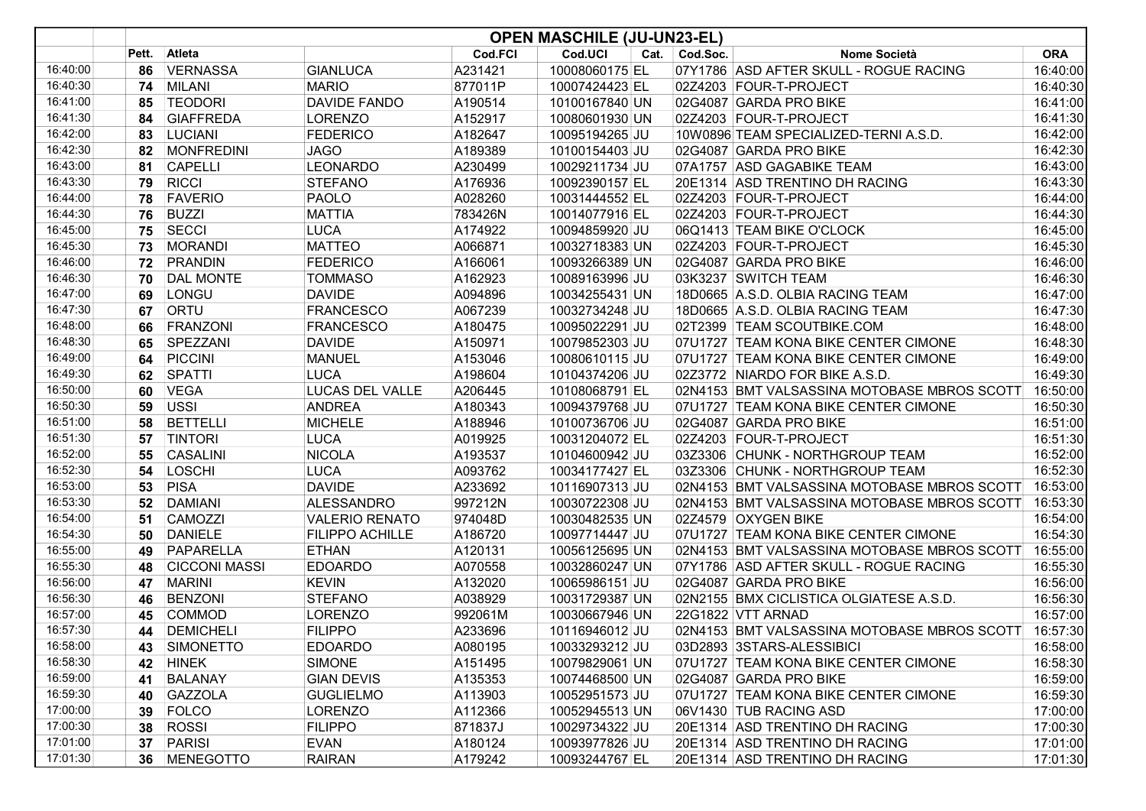|          | <b>OPEN MASCHILE (JU-UN23-EL)</b> |                      |                        |         |                |      |          |                                             |            |  |
|----------|-----------------------------------|----------------------|------------------------|---------|----------------|------|----------|---------------------------------------------|------------|--|
|          | Pett.                             | Atleta               |                        | Cod.FCI | Cod.UCI        | Cat. | Cod.Soc. | Nome Società                                | <b>ORA</b> |  |
| 16:40:00 | 86                                | <b>VERNASSA</b>      | <b>GIANLUCA</b>        | A231421 | 10008060175 EL |      |          | 07Y1786 ASD AFTER SKULL - ROGUE RACING      | 16:40:00   |  |
| 16:40:30 | 74                                | <b>MILANI</b>        | <b>MARIO</b>           | 877011P | 10007424423 EL |      |          | 02Z4203 FOUR-T-PROJECT                      | 16:40:30   |  |
| 16:41:00 | 85                                | <b>TEODORI</b>       | <b>DAVIDE FANDO</b>    | A190514 | 10100167840 UN |      |          | 02G4087 GARDA PRO BIKE                      | 16:41:00   |  |
| 16:41:30 | 84                                | <b>GIAFFREDA</b>     | <b>LORENZO</b>         | A152917 | 10080601930 UN |      |          | 02Z4203 FOUR-T-PROJECT                      | 16:41:30   |  |
| 16:42:00 | 83                                | LUCIANI              | <b>FEDERICO</b>        | A182647 | 10095194265 JU |      |          | 10W0896 TEAM SPECIALIZED-TERNI A.S.D.       | 16:42:00   |  |
| 16:42:30 | 82                                | <b>MONFREDINI</b>    | <b>JAGO</b>            | A189389 | 10100154403 JU |      |          | 02G4087 GARDA PRO BIKE                      | 16:42:30   |  |
| 16:43:00 | 81                                | <b>CAPELLI</b>       | <b>LEONARDO</b>        | A230499 | 10029211734 JU |      |          | 07A1757 ASD GAGABIKE TEAM                   | 16:43:00   |  |
| 16:43:30 | 79                                | <b>RICCI</b>         | <b>STEFANO</b>         | A176936 | 10092390157 EL |      |          | 20E1314 ASD TRENTINO DH RACING              | 16:43:30   |  |
| 16:44:00 | 78                                | <b>FAVERIO</b>       | <b>PAOLO</b>           | A028260 | 10031444552 EL |      |          | 02Z4203 FOUR-T-PROJECT                      | 16:44:00   |  |
| 16:44:30 | 76                                | <b>BUZZI</b>         | <b>MATTIA</b>          | 783426N | 10014077916 EL |      |          | 02Z4203 FOUR-T-PROJECT                      | 16:44:30   |  |
| 16:45:00 | 75                                | <b>SECCI</b>         | <b>LUCA</b>            | A174922 | 10094859920 JU |      |          | 06Q1413 TEAM BIKE O'CLOCK                   | 16:45:00   |  |
| 16:45:30 | 73                                | <b>MORANDI</b>       | <b>MATTEO</b>          | A066871 | 10032718383 UN |      |          | 02Z4203 FOUR-T-PROJECT                      | 16:45:30   |  |
| 16:46:00 | 72                                | PRANDIN              | <b>FEDERICO</b>        | A166061 | 10093266389 UN |      |          | 02G4087 GARDA PRO BIKE                      | 16:46:00   |  |
| 16:46:30 | 70                                | <b>DAL MONTE</b>     | <b>TOMMASO</b>         | A162923 | 10089163996 JU |      |          | 03K3237 SWITCH TEAM                         | 16:46:30   |  |
| 16:47:00 | 69                                | LONGU                | <b>DAVIDE</b>          | A094896 | 10034255431 UN |      |          | 18D0665 A.S.D. OLBIA RACING TEAM            | 16:47:00   |  |
| 16:47:30 | 67                                | ORTU                 | <b>FRANCESCO</b>       | A067239 | 10032734248 JU |      |          | 18D0665 A.S.D. OLBIA RACING TEAM            | 16:47:30   |  |
| 16:48:00 | 66                                | FRANZONI             | <b>FRANCESCO</b>       | A180475 | 10095022291 JU |      |          | 02T2399 TEAM SCOUTBIKE.COM                  | 16:48:00   |  |
| 16:48:30 | 65                                | SPEZZANI             | <b>DAVIDE</b>          | A150971 | 10079852303 JU |      |          | 07U1727 TEAM KONA BIKE CENTER CIMONE        | 16:48:30   |  |
| 16:49:00 | 64                                | PICCINI              | <b>MANUEL</b>          | A153046 | 10080610115 JU |      |          | 07U1727 TEAM KONA BIKE CENTER CIMONE        | 16:49:00   |  |
| 16:49:30 | 62                                | <b>SPATTI</b>        | <b>LUCA</b>            | A198604 | 10104374206 JU |      |          | 02Z3772 NIARDO FOR BIKE A.S.D.              | 16:49:30   |  |
| 16:50:00 | 60                                | <b>VEGA</b>          | <b>LUCAS DEL VALLE</b> | A206445 | 10108068791 EL |      |          | 02N4153 BMT VALSASSINA MOTOBASE MBROS SCOTT | 16:50:00   |  |
| 16:50:30 | 59                                | USSI                 | <b>ANDREA</b>          | A180343 | 10094379768 JU |      |          | 07U1727 TEAM KONA BIKE CENTER CIMONE        | 16:50:30   |  |
| 16:51:00 | 58                                | <b>BETTELLI</b>      | <b>MICHELE</b>         | A188946 | 10100736706 JU |      |          | 02G4087 GARDA PRO BIKE                      | 16:51:00   |  |
| 16:51:30 | 57                                | <b>TINTORI</b>       | LUCA                   | A019925 | 10031204072 EL |      |          | 02Z4203 FOUR-T-PROJECT                      | 16:51:30   |  |
| 16:52:00 | 55                                | <b>CASALINI</b>      | <b>NICOLA</b>          | A193537 | 10104600942 JU |      |          | 03Z3306 CHUNK - NORTHGROUP TEAM             | 16:52:00   |  |
| 16:52:30 | 54                                | LOSCHI               | LUCA                   | A093762 | 10034177427 EL |      |          | 03Z3306 CHUNK - NORTHGROUP TEAM             | 16:52:30   |  |
| 16:53:00 | 53                                | <b>PISA</b>          | <b>DAVIDE</b>          | A233692 | 10116907313 JU |      |          | 02N4153 BMT VALSASSINA MOTOBASE MBROS SCOTT | 16:53:00   |  |
| 16:53:30 | 52                                | <b>DAMIANI</b>       | <b>ALESSANDRO</b>      | 997212N | 10030722308 JU |      |          | 02N4153 BMT VALSASSINA MOTOBASE MBROS SCOTT | 16:53:30   |  |
| 16:54:00 | 51                                | CAMOZZI              | <b>VALERIO RENATO</b>  | 974048D | 10030482535 UN |      |          | 02Z4579 OXYGEN BIKE                         | 16:54:00   |  |
| 16:54:30 | 50                                | <b>DANIELE</b>       | FILIPPO ACHILLE        | A186720 | 10097714447 JU |      |          | 07U1727 TEAM KONA BIKE CENTER CIMONE        | 16:54:30   |  |
| 16:55:00 | 49                                | PAPARELLA            | <b>ETHAN</b>           | A120131 | 10056125695 UN |      |          | 02N4153 BMT VALSASSINA MOTOBASE MBROS SCOTT | 16:55:00   |  |
| 16:55:30 | 48                                | <b>CICCONI MASSI</b> | <b>EDOARDO</b>         | A070558 | 10032860247 UN |      |          | 07Y1786 ASD AFTER SKULL - ROGUE RACING      | 16:55:30   |  |
| 16:56:00 | 47                                | <b>MARINI</b>        | <b>KEVIN</b>           | A132020 | 10065986151 JU |      |          | 02G4087 GARDA PRO BIKE                      | 16:56:00   |  |
| 16:56:30 | 46                                | <b>BENZONI</b>       | <b>STEFANO</b>         | A038929 | 10031729387 UN |      |          | 02N2155 BMX CICLISTICA OLGIATESE A.S.D.     | 16:56:30   |  |
| 16:57:00 | 45                                | <b>COMMOD</b>        | <b>LORENZO</b>         | 992061M | 10030667946 UN |      |          | 22G1822 VTT ARNAD                           | 16:57:00   |  |
| 16:57:30 | 44                                | <b>DEMICHELI</b>     | <b>FILIPPO</b>         | A233696 | 10116946012 JU |      |          | 02N4153 BMT VALSASSINA MOTOBASE MBROS SCOTT | 16:57:30   |  |
| 16:58:00 | 43                                | SIMONETTO            | <b>EDOARDO</b>         | A080195 | 10033293212 JU |      |          | 03D2893 3STARS-ALESSIBICI                   | 16:58:00   |  |
| 16:58:30 | 42                                | <b>HINEK</b>         | <b>SIMONE</b>          | A151495 | 10079829061 UN |      |          | 07U1727 TEAM KONA BIKE CENTER CIMONE        | 16:58:30   |  |
| 16:59:00 | 41                                | <b>BALANAY</b>       | <b>GIAN DEVIS</b>      | A135353 | 10074468500 UN |      |          | 02G4087 GARDA PRO BIKE                      | 16:59:00   |  |
| 16:59:30 | 40                                | <b>GAZZOLA</b>       | <b>GUGLIELMO</b>       | A113903 | 10052951573 JU |      |          | 07U1727 TEAM KONA BIKE CENTER CIMONE        | 16:59:30   |  |
| 17:00:00 | 39                                | <b>FOLCO</b>         | <b>LORENZO</b>         | A112366 | 10052945513 UN |      |          | 06V1430 TUB RACING ASD                      | 17:00:00   |  |
| 17:00:30 | 38                                | <b>ROSSI</b>         | <b>FILIPPO</b>         | 871837J | 10029734322 JU |      |          | 20E1314 ASD TRENTINO DH RACING              | 17:00:30   |  |
| 17:01:00 | 37                                | <b>PARISI</b>        | <b>EVAN</b>            | A180124 | 10093977826 JU |      |          | 20E1314 ASD TRENTINO DH RACING              | 17:01:00   |  |
| 17:01:30 | 36                                | MENEGOTTO            | <b>RAIRAN</b>          | A179242 | 10093244767 EL |      |          | 20E1314 ASD TRENTINO DH RACING              | 17:01:30   |  |